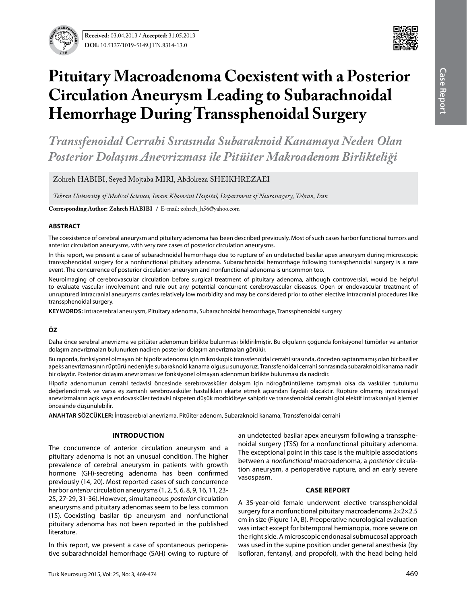**Received:** 03.04.2013 / **Accepted:** 31.05.2013 **DOI:** 10.5137/1019-5149.JTN.8314-13.0



# **Pituitary Macroadenoma Coexistent with a Posterior Circulation Aneurysm Leading to Subarachnoidal Hemorrhage During Transsphenoidal Surgery**

*Transsfenoidal Cerrahi Sırasında Subaraknoid Kanamaya Neden Olan Posterior Dolaşım Anevrizması ile Pitüiter Makroadenom Birlikteliği*

Zohreh HABIBI, Seyed Moitaba MIRI, Abdolreza SHEIKHREZAEI

*Tehran University of Medical Sciences, Imam Khomeini Hospital, Department of Neurosurgery, Tehran, Iran*

**Corresponding Author: Zohreh HabIbI /** E-mail: zohreh\_h56@yahoo.com

#### **ABSTRACT**

The coexistence of cerebral aneurysm and pituitary adenoma has been described previously. Most of such cases harbor functional tumors and anterior circulation aneurysms, with very rare cases of posterior circulation aneurysms.

In this report, we present a case of subarachnoidal hemorrhage due to rupture of an undetected basilar apex aneurysm during microscopic transsphenoidal surgery for a nonfunctional pituitary adenoma. Subarachnoidal hemorrhage following transsphenoidal surgery is a rare event. The concurrence of posterior circulation aneurysm and nonfunctional adenoma is uncommon too.

Neuroimaging of cerebrovascular circulation before surgical treatment of pituitary adenoma, although controversial, would be helpful to evaluate vascular involvement and rule out any potential concurrent cerebrovascular diseases. Open or endovascular treatment of unruptured intracranial aneurysms carries relatively low morbidity and may be considered prior to other elective intracranial procedures like transsphenoidal surgery.

**Keywords:** Intracerebral aneurysm, Pituitary adenoma, Subarachnoidal hemorrhage, Transsphenoidal surgery

## **ÖZ**

Daha önce serebral anevrizma ve pitüiter adenomun birlikte bulunması bildirilmiştir. Bu olguların çoğunda fonksiyonel tümörler ve anterior dolaşım anevrizmaları bulunurken nadiren posterior dolaşım anevrizmaları görülür.

Bu raporda, fonksiyonel olmayan bir hipofiz adenomu için mikroskopik transsfenoidal cerrahi sırasında, önceden saptanmamış olan bir baziller apeks anevrizmasının rüptürü nedeniyle subaraknoid kanama olgusu sunuyoruz. Transsfenoidal cerrahi sonrasında subaraknoid kanama nadir bir olaydır. Posterior dolaşım anevrizması ve fonksiyonel olmayan adenomun birlikte bulunması da nadirdir.

Hipofiz adenomunun cerrahi tedavisi öncesinde serebrovasküler dolaşım için nörogörüntüleme tartışmalı olsa da vasküler tutulumu değerlendirmek ve varsa eş zamanlı serebrovasküler hastalıkları ekarte etmek açısından faydalı olacaktır. Rüptüre olmamış intrakraniyal anevrizmaların açık veya endovasküler tedavisi nispeten düşük morbiditeye sahiptir ve transsfenoidal cerrahi gibi elektif intrakraniyal işlemler öncesinde düşünülebilir.

**ANAHTAR SÖZCÜKLER:** İntraserebral anevrizma, Pitüiter adenom, Subaraknoid kanama, Transsfenoidal cerrahi

## **Introduction**

The concurrence of anterior circulation aneurysm and a pituitary adenoma is not an unusual condition. The higher prevalence of cerebral aneurysm in patients with growth hormone (GH)-secreting adenoma has been confirmed previously (14, 20). Most reported cases of such concurrence harbor *anterior* circulation aneurysms (1, 2, 5, 6, 8, 9, 16, 11, 23- 25, 27-29, 31-36).However, simultaneous *posterior* circulation aneurysms and pituitary adenomas seem to be less common (15). Coexisting basilar tip aneurysm and nonfunctional pituitary adenoma has not been reported in the published literature.

In this report, we present a case of spontaneous perioperative subarachnoidal hemorrhage (SAH) owing to rupture of an undetected basilar apex aneurysm following a transsphenoidal surgery (TSS) for a nonfunctional pituitary adenoma. The exceptional point in this case is the multiple associations between a *nonfunctional* macroadenoma, a *posterior* circulation aneurysm, a perioperative rupture, and an early severe vasospasm.

#### **Case report**

A 35-year-old female underwent elective transsphenoidal surgery for a nonfunctional pituitary macroadenoma 2×2×2.5 cm in size (Figure 1A, B). Preoperative neurological evaluation was intact except for bitemporal hemianopia, more severe on the right side. A microscopic endonasal submucosal approach was used in the supine position under general anesthesia (by isofloran, fentanyl, and propofol), with the head being held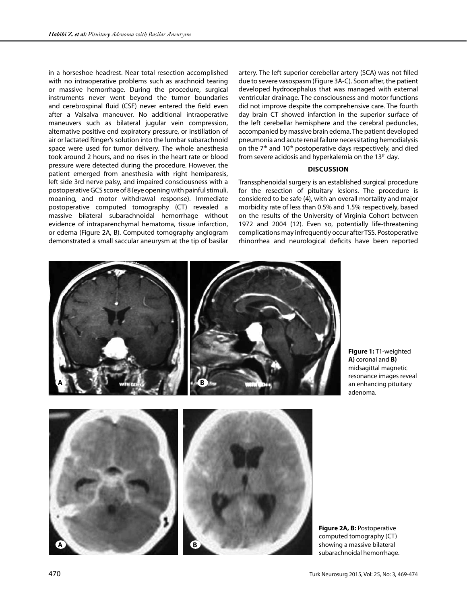in a horseshoe headrest. Near total resection accomplished with no intraoperative problems such as arachnoid tearing or massive hemorrhage. During the procedure, surgical instruments never went beyond the tumor boundaries and cerebrospinal fluid (CSF) never entered the field even after a Valsalva maneuver. No additional intraoperative maneuvers such as bilateral jugular vein compression, alternative positive end expiratory pressure, or instillation of air or lactated Ringer's solution into the lumbar subarachnoid space were used for tumor delivery. The whole anesthesia took around 2 hours, and no rises in the heart rate or blood pressure were detected during the procedure. However, the patient emerged from anesthesia with right hemiparesis, left side 3rd nerve palsy, and impaired consciousness with a postoperative GCS score of 8 (eye opening with painful stimuli, moaning, and motor withdrawal response). Immediate postoperative computed tomography (CT) revealed a massive bilateral subarachnoidal hemorrhage without evidence of intraparenchymal hematoma, tissue infarction, or edema (Figure 2A, B). Computed tomography angiogram demonstrated a small saccular aneurysm at the tip of basilar

artery. The left superior cerebellar artery (SCA) was not filled due to severe vasospasm (Figure 3A-C). Soon after, the patient developed hydrocephalus that was managed with external ventricular drainage. The consciousness and motor functions did not improve despite the comprehensive care. The fourth day brain CT showed infarction in the superior surface of the left cerebellar hemisphere and the cerebral peduncles, accompanied by massive brain edema. The patient developed pneumonia and acute renal failure necessitating hemodialysis on the 7<sup>th</sup> and 10<sup>th</sup> postoperative days respectively, and died from severe acidosis and hyperkalemia on the 13<sup>th</sup> day.

## **Discussion**

Transsphenoidal surgery is an established surgical procedure for the resection of pituitary lesions. The procedure is considered to be safe (4), with an overall mortality and major morbidity rate of less than 0.5% and 1.5% respectively, based on the results of the University of Virginia Cohort between 1972 and 2004 (12). Even so, potentially life-threatening complications may infrequently occur after TSS. Postoperative rhinorrhea and neurological deficits have been reported



**Figure 1:** T1-weighted **A)** coronal and **B)**  midsagittal magnetic resonance images reveal an enhancing pituitary adenoma.

**Figure 2A, B:** Postoperative computed tomography (CT) showing a massive bilateral subarachnoidal hemorrhage.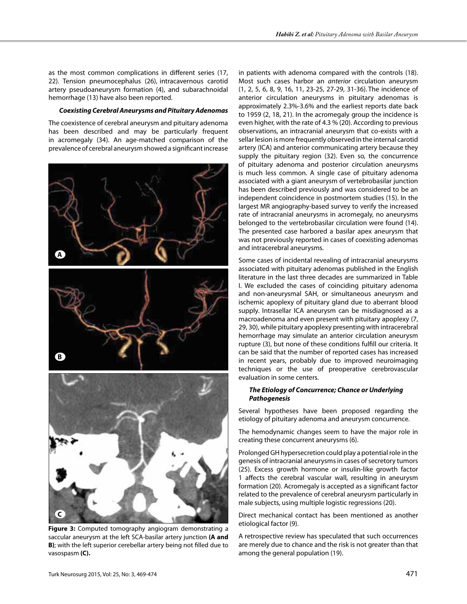as the most common complications in different series (17, 22). Tension pneumocephalus (26), intracavernous carotid artery pseudoaneurysm formation (4), and subarachnoidal hemorrhage (13) have also been reported.

### *Coexisting Cerebral Aneurysms and Pituitary Adenomas*

The coexistence of cerebral aneurysm and pituitary adenoma has been described and may be particularly frequent in acromegaly (34). An age-matched comparison of the prevalence of cerebral aneurysm showed a significant increase



**Figure 3:** Computed tomography angiogram demonstrating a saccular aneurysm at the left SCA-basilar artery junction **(A and B)**; with the left superior cerebellar artery being not filled due to vasospasm **(C).**

in patients with adenoma compared with the controls (18). Most such cases harbor an *anterior* circulation aneurysm (1, 2, 5, 6, 8, 9, 16, 11, 23-25, 27-29, 31-36). The incidence of anterior circulation aneurysms in pituitary adenomas is approximately 2.3%-3.6% and the earliest reports date back to 1959 (2, 18, 21). In the acromegaly group the incidence is even higher, with the rate of 4.3 % (20). According to previous observations, an intracranial aneurysm that co-exists with a sellar lesion is more frequently observed in the internal carotid artery (ICA) and anterior communicating artery because they supply the pituitary region (32). Even so, the concurrence of pituitary adenoma and posterior circulation aneurysms is much less common. A single case of pituitary adenoma associated with a giant aneurysm of vertebrobasilar junction has been described previously and was considered to be an independent coincidence in postmortem studies (15). In the largest MR angiography-based survey to verify the increased rate of intracranial aneurysms in acromegaly, no aneurysms belonged to the vertebrobasilar circulation were found (14). The presented case harbored a basilar apex aneurysm that was not previously reported in cases of coexisting adenomas and intracerebral aneurysms.

Some cases of incidental revealing of intracranial aneurysms associated with pituitary adenomas published in the English literature in the last three decades are summarized in Table I. We excluded the cases of coinciding pituitary adenoma and non-aneurysmal SAH, or simultaneous aneurysm and ischemic apoplexy of pituitary gland due to aberrant blood supply. Intrasellar ICA aneurysm can be misdiagnosed as a macroadenoma and even present with pituitary apoplexy (7, 29, 30), while pituitary apoplexy presenting with intracerebral hemorrhage may simulate an anterior circulation aneurysm rupture (3), but none of these conditions fulfill our criteria. It can be said that the number of reported cases has increased in recent years, probably due to improved neuroimaging techniques or the use of preoperative cerebrovascular evaluation in some centers.

## *The Etiology of Concurrence; Chance or Underlying Pathogenesis*

Several hypotheses have been proposed regarding the etiology of pituitary adenoma and aneurysm concurrence.

The hemodynamic changes seem to have the major role in creating these concurrent aneurysms (6).

Prolonged GH hypersecretion could play a potential role in the genesis of intracranial aneurysms in cases of secretory tumors (25). Excess growth hormone or insulin-like growth factor 1 affects the cerebral vascular wall, resulting in aneurysm formation (20). Acromegaly is accepted as a significant factor related to the prevalence of cerebral aneurysm particularly in male subjects, using multiple logistic regressions (20).

Direct mechanical contact has been mentioned as another etiological factor (9).

A retrospective review has speculated that such occurrences are merely due to chance and the risk is not greater than that among the general population (19).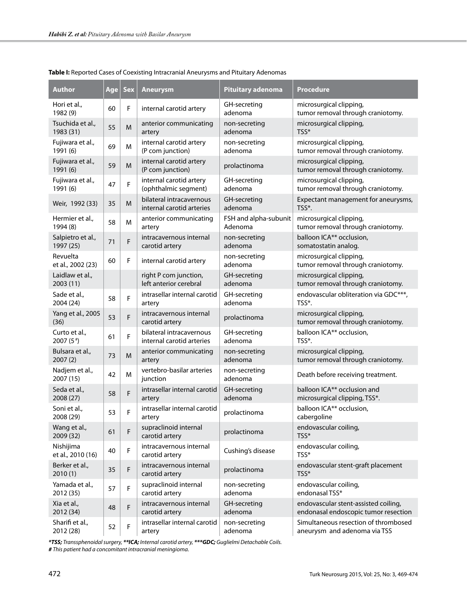| <b>Author</b>                  | Age | <b>Sex</b>  | <b>Aneurysm</b>                                       | Pituitary adenoma                | <b>Procedure</b>                                                             |
|--------------------------------|-----|-------------|-------------------------------------------------------|----------------------------------|------------------------------------------------------------------------------|
| Hori et al.,<br>1982 (9)       | 60  | F           | internal carotid artery                               | GH-secreting<br>adenoma          | microsurgical clipping,<br>tumor removal through craniotomy.                 |
| Tsuchida et al.,<br>1983 (31)  | 55  | M           | anterior communicating<br>artery                      | non-secreting<br>adenoma         | microsurgical clipping,<br>$TSS*$                                            |
| Fujiwara et al.,<br>1991 (6)   | 69  | M           | internal carotid artery<br>(P com junction)           | non-secreting<br>adenoma         | microsurgical clipping,<br>tumor removal through craniotomy.                 |
| Fujiwara et al.,<br>1991 (6)   | 59  | M           | internal carotid artery<br>(P com junction)           | prolactinoma                     | microsurgical clipping,<br>tumor removal through craniotomy.                 |
| Fujiwara et al.,<br>1991 (6)   | 47  | F           | internal carotid artery<br>(ophthalmic segment)       | GH-secreting<br>adenoma          | microsurgical clipping,<br>tumor removal through craniotomy.                 |
| Weir, 1992 (33)                | 35  | M           | bilateral intracavernous<br>internal carotid arteries | GH-secreting<br>adenoma          | Expectant management for aneurysms,<br>TSS*.                                 |
| Hermier et al.,<br>1994 (8)    | 58  | M           | anterior communicating<br>artery                      | FSH and alpha-subunit<br>Adenoma | microsurgical clipping,<br>tumor removal through craniotomy.                 |
| Salpietro et al.,<br>1997 (25) | 71  | F           | intracavernous internal<br>carotid artery             | non-secreting<br>adenoma         | balloon ICA** occlusion,<br>somatostatin analog.                             |
| Revuelta<br>et al., 2002 (23)  | 60  | F           | internal carotid artery                               | non-secreting<br>adenoma         | microsurgical clipping,<br>tumor removal through craniotomy.                 |
| Laidlaw et al.,<br>2003 (11)   |     |             | right P com junction,<br>left anterior cerebral       | GH-secreting<br>adenoma          | microsurgical clipping,<br>tumor removal through craniotomy.                 |
| Sade et al.,<br>2004 (24)      | 58  | F           | intrasellar internal carotid<br>artery                | GH-secreting<br>adenoma          | endovascular obliteration via GDC***,<br>TSS*.                               |
| Yang et al., 2005<br>(36)      | 53  | F           | intracavernous internal<br>carotid artery             | prolactinoma                     | microsurgical clipping,<br>tumor removal through craniotomy.                 |
| Curto et al.,<br>2007 $(5^*)$  | 61  | F           | bilateral intracavernous<br>internal carotid arteries | GH-secreting<br>adenoma          | balloon ICA** occlusion,<br>TSS*.                                            |
| Bulsara et al.,<br>2007(2)     | 73  | M           | anterior communicating<br>artery                      | non-secreting<br>adenoma         | microsurgical clipping,<br>tumor removal through craniotomy.                 |
| Nadjem et al.,<br>2007 (15)    | 42  | M           | vertebro-basilar arteries<br>junction                 | non-secreting<br>adenoma         | Death before receiving treatment.                                            |
| Seda et al.,<br>2008 (27)      | 58  | F           | intrasellar internal carotid<br>artery                | GH-secreting<br>adenoma          | balloon ICA** occlusion and<br>microsurgical clipping, TSS*.                 |
| Soni et al.,<br>2008 (29)      | 53  | F           | intrasellar internal carotid<br>artery                | prolactinoma                     | balloon ICA** occlusion,<br>cabergoline                                      |
| Wang et al.,<br>2009 (32)      | 61  | F           | supraclinoid internal<br>carotid artery               | prolactinoma                     | endovascular coiling,<br>TSS*                                                |
| Nishijima<br>et al., 2010 (16) | 40  | F           | intracavernous internal<br>carotid artery             | Cushing's disease                | endovascular coiling,<br>TSS*                                                |
| Berker et al.,<br>2010(1)      | 35  | F           | intracavernous internal<br>carotid artery             | prolactinoma                     | endovascular stent-graft placement<br>TSS*                                   |
| Yamada et al.,<br>2012 (35)    | 57  | F           | supraclinoid internal<br>carotid artery               | non-secreting<br>adenoma         | endovascular coiling,<br>endonasal TSS*                                      |
| Xia et al.,<br>2012 (34)       | 48  | F           | intracavernous internal<br>carotid artery             | GH-secreting<br>adenoma          | endovascular stent-assisted coiling,<br>endonasal endoscopic tumor resection |
| Sharifi et al.,<br>2012 (28)   | 52  | $\mathsf F$ | intrasellar internal carotid<br>artery                | non-secreting<br>adenoma         | Simultaneous resection of thrombosed<br>aneurysm and adenoma via TSS         |

## **Table I:** Reported Cases of Coexisting Intracranial Aneurysms and Pituitary Adenomas

*\*TSS; Transsphenoidal surgery, \*\*ICA; Internal carotid artery, \*\*\*GDC; Guglielmi Detachable Coils.*

*# This patient had a concomitant intracranial meningioma.*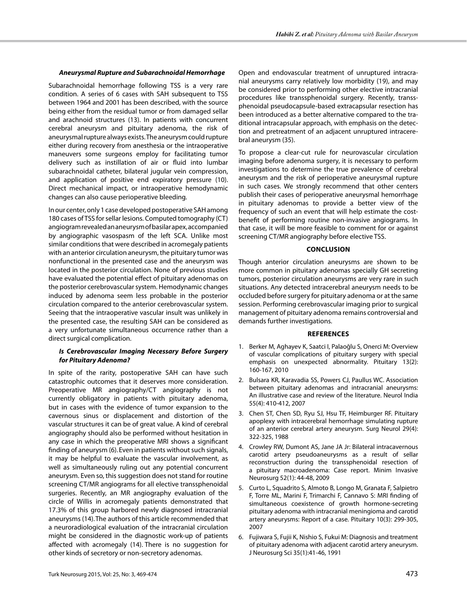### *Aneurysmal Rupture and Subarachnoidal Hemorrhage*

Subarachnoidal hemorrhage following TSS is a very rare condition. A series of 6 cases with SAH subsequent to TSS between 1964 and 2001 has been described, with the source being either from the residual tumor or from damaged sellar and arachnoid structures (13). In patients with concurrent cerebral aneurysm and pituitary adenoma, the risk of aneurysmal rupture always exists. The aneurysm could rupture either during recovery from anesthesia or the intraoperative maneuvers some surgeons employ for facilitating tumor delivery such as instillation of air or fluid into lumbar subarachnoidal catheter, bilateral jugular vein compression, and application of positive end expiratory pressure (10). Direct mechanical impact, or intraoperative hemodynamic changes can also cause perioperative bleeding.

In our center, only 1 case developed postoperative SAH among 180 cases of TSS for sellar lesions. Computed tomography (CT) angiogram revealed an aneurysm of basilar apex, accompanied by angiographic vasospasm of the left SCA. Unlike most similar conditions that were described in acromegaly patients with an anterior circulation aneurysm, the pituitary tumor was nonfunctional in the presented case and the aneurysm was located in the posterior circulation. None of previous studies have evaluated the potential effect of pituitary adenomas on the posterior cerebrovascular system. Hemodynamic changes induced by adenoma seem less probable in the posterior circulation compared to the anterior cerebrovascular system. Seeing that the intraoperative vascular insult was unlikely in the presented case, the resulting SAH can be considered as a very unfortunate simultaneous occurrence rather than a direct surgical complication.

## *Is Cerebrovascular Imaging Necessary Before Surgery for Pituitary Adenoma?*

In spite of the rarity, postoperative SAH can have such catastrophic outcomes that it deserves more consideration. Preoperative MR angiography/CT angiography is not currently obligatory in patients with pituitary adenoma, but in cases with the evidence of tumor expansion to the cavernous sinus or displacement and distortion of the vascular structures it can be of great value. A kind of cerebral angiography should also be performed without hesitation in any case in which the preoperative MRI shows a significant finding of aneurysm (6).Even in patients without such signals, it may be helpful to evaluate the vascular involvement, as well as simultaneously ruling out any potential concurrent aneurysm. Even so, this suggestion does not stand for routine screening CT/MR angiograms for all elective transsphenoidal surgeries. Recently, an MR angiography evaluation of the circle of Willis in acromegaly patients demonstrated that 17.3% of this group harbored newly diagnosed intracranial aneurysms (14).The authors of this article recommended that a neuroradiological evaluation of the intracranial circulation might be considered in the diagnostic work-up of patients affected with acromegaly (14). There is no suggestion for other kinds of secretory or non-secretory adenomas.

Open and endovascular treatment of unruptured intracranial aneurysms carry relatively low morbidity (19), and may be considered prior to performing other elective intracranial procedures like transsphenoidal surgery. Recently, transsphenoidal pseudocapsule-based extracapsular resection has been introduced as a better alternative compared to the traditional intracapsular approach, with emphasis on the detection and pretreatment of an adjacent unruptured intracerebral aneurysm (35).

To propose a clear-cut rule for neurovascular circulation imaging before adenoma surgery, it is necessary to perform investigations to determine the true prevalence of cerebral aneurysm and the risk of perioperative aneurysmal rupture in such cases. We strongly recommend that other centers publish their cases of perioperative aneurysmal hemorrhage in pituitary adenomas to provide a better view of the frequency of such an event that will help estimate the costbenefit of performing routine non-invasive angiograms. In that case, it will be more feasible to comment for or against screening CT/MR angiography before elective TSS.

## **Conclusion**

Though anterior circulation aneurysms are shown to be more common in pituitary adenomas specially GH secreting tumors, posterior circulation aneurysms are very rare in such situations. Any detected intracerebral aneurysm needs to be occluded before surgery for pituitary adenoma or at the same session. Performing cerebrovascular imaging prior to surgical management of pituitary adenoma remains controversial and demands further investigations.

#### **References**

- 1. Berker M, Aghayev K, Saatci I, Palaoğlu S, Onerci M: Overview of vascular complications of pituitary surgery with special emphasis on unexpected abnormality. Pituitary 13(2): 160-167, 2010
- 2. Bulsara KR, Karavadia SS, Powers CJ, Paullus WC. Association between pituitary adenomas and intracranial aneurysms: An illustrative case and review of the literature. Neurol India 55(4): 410-412, 2007
- 3. Chen ST, Chen SD, Ryu SJ, Hsu TF, Heimburger RF. Pituitary apoplexy with intracerebral hemorrhage simulating rupture of an anterior cerebral artery aneurysm. Surg Neurol 29(4): 322-325, 1988
- 4. Crowley RW, Dumont AS, Jane JA Jr: Bilateral intracavernous carotid artery pseudoaneurysms as a result of sellar reconstruction during the transsphenoidal resection of a pituitary macroadenoma: Case report. Minim Invasive Neurosurg 52(1): 44-48, 2009
- 5. Curto L, Squadrito S, Almoto B, Longo M, Granata F, Salpietro F, Torre ML, Marini F, Trimarchi F, Cannavo S: MRI finding of simultaneous coexistence of growth hormone-secreting pituitary adenoma with intracranial meningioma and carotid artery aneurysms: Report of a case. Pituitary 10(3): 299-305, 2007
- 6. Fujiwara S, Fujii K, Nishio S, Fukui M: Diagnosis and treatment of pituitary adenoma with adjacent carotid artery aneurysm. J Neurosurg Sci 35(1):41-46, 1991